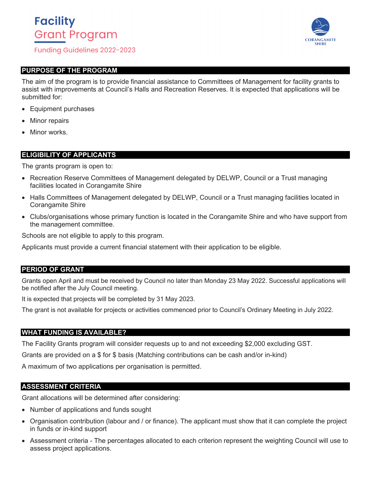# **Facility Grant Program**

**Funding Guidelines 2022-2023** 

### **PURPOSE OF THE PROGRAM**

The aim of the program is to provide financial assistance to Committees of Management for facility grants to assist with improvements at Council's Halls and Recreation Reserves. It is expected that applications will be submitted for:

- Equipment purchases
- **Minor repairs**
- Minor works.

### **ELIGIBILITY OF APPLICANTS**

The grants program is open to:

- Recreation Reserve Committees of Management delegated by DELWP, Council or a Trust managing facilities located in Corangamite Shire
- Halls Committees of Management delegated by DELWP, Council or a Trust managing facilities located in Corangamite Shire
- Clubs/organisations whose primary function is located in the Corangamite Shire and who have support from the management committee.

Schools are not eligible to apply to this program.

Applicants must provide a current financial statement with their application to be eligible.

### **PERIOD OF GRANT**

Grants open April and must be received by Council no later than Monday 23 May 2022. Successful applications will be notified after the July Council meeting.

It is expected that projects will be completed by 31 May 2023.

The grant is not available for projects or activities commenced prior to Council's Ordinary Meeting in July 2022.

### **WHAT FUNDING IS AVAILABLE?**

The Facility Grants program will consider requests up to and not exceeding \$2,000 excluding GST.

Grants are provided on a \$ for \$ basis (Matching contributions can be cash and/or in-kind)

A maximum of two applications per organisation is permitted.

### **ASSESSMENT CRITERIA**

Grant allocations will be determined after considering:

- Number of applications and funds sought
- Organisation contribution (labour and / or finance). The applicant must show that it can complete the project in funds or in-kind support
- Assessment criteria The percentages allocated to each criterion represent the weighting Council will use to assess project applications.

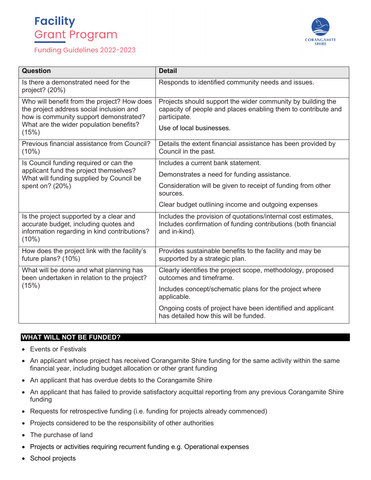# **Facility Grant Program**

## Funding Guidelines 2022-2023



| Question                                                                                                                                                                              | <b>Detail</b>                                                                                                                                                            |
|---------------------------------------------------------------------------------------------------------------------------------------------------------------------------------------|--------------------------------------------------------------------------------------------------------------------------------------------------------------------------|
| Is there a demonstrated need for the<br>project? $(20%)$                                                                                                                              | Responds to identified community needs and issues.                                                                                                                       |
| Who will benefit from the project? How does<br>the project address social inclusion and<br>how is community support demonstrated?<br>What are the wider population benefits?<br>(15%) | Projects should support the wider community by building the<br>capacity of people and places enabling them to contribute and<br>participate.<br>Use of local businesses. |
| Previous financial assistance from Council?<br>$(10\%)$                                                                                                                               | Details the extent financial assistance has been provided by<br>Council in the past.                                                                                     |
| Is Council funding required or can the<br>applicant fund the project themselves?<br>What will funding supplied by Council be<br>spent on? (20%)                                       | Includes a current bank statement.                                                                                                                                       |
|                                                                                                                                                                                       | Demonstrates a need for funding assistance.                                                                                                                              |
|                                                                                                                                                                                       | Consideration will be given to receipt of funding from other<br>sources.                                                                                                 |
|                                                                                                                                                                                       | Clear budget outlining income and outgoing expenses                                                                                                                      |
| Is the project supported by a clear and<br>accurate budget, including quotes and<br>information regarding in kind contributions?<br>(10%)                                             | Includes the provision of quotations/internal cost estimates,<br>Includes confirmation of funding contributions (both financial<br>and in-kind).                         |
| How does the project link with the facility's<br>future plans? (10%)                                                                                                                  | Provides sustainable benefits to the facility and may be<br>supported by a strategic plan.                                                                               |
| What will be done and what planning has<br>been undertaken in relation to the project?<br>(15%)                                                                                       | Clearly identifies the project scope, methodology, proposed<br>outcomes and timeframe.                                                                                   |
|                                                                                                                                                                                       | Includes concept/schematic plans for the project where<br>applicable.                                                                                                    |
|                                                                                                                                                                                       | Ongoing costs of project have been identified and applicant<br>has detailed how this will be funded.                                                                     |

# **WHAT WILL NOT BE FUNDED?**

- Events or Festivals
- An applicant whose project has received Corangamite Shire funding for the same activity within the same financial year, including budget allocation or other grant funding
- An applicant that has overdue debts to the Corangamite Shire
- An applicant that has failed to provide satisfactory acquittal reporting from any previous Corangamite Shire funding
- Requests for retrospective funding (i.e. funding for projects already commenced)
- Projects considered to be the responsibility of other authorities
- The purchase of land
- Projects or activities requiring recurrent funding e.g. Operational expenses
- School projects